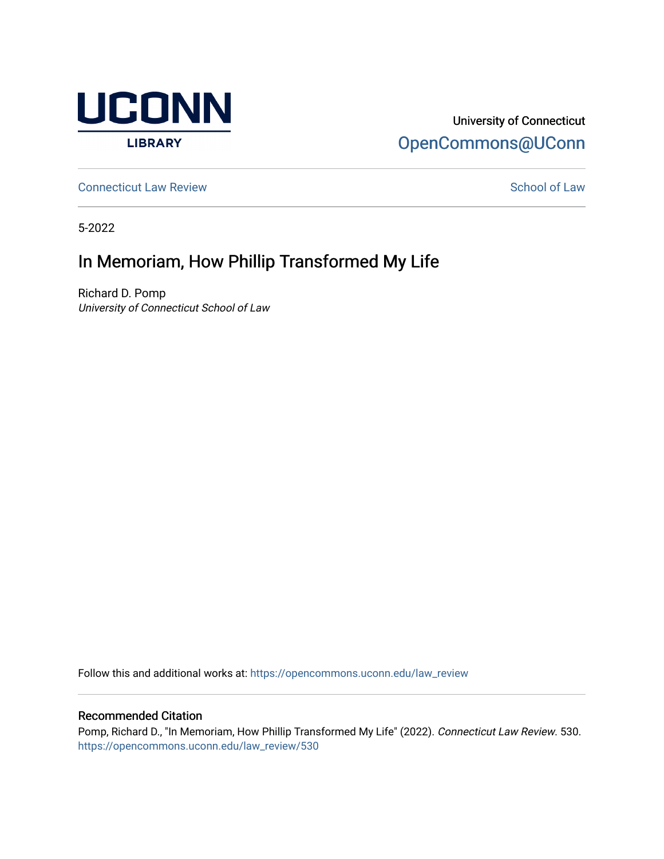

## University of Connecticut [OpenCommons@UConn](https://opencommons.uconn.edu/)

**[Connecticut Law Review](https://opencommons.uconn.edu/law_review) [School of Law](https://opencommons.uconn.edu/sol) Review School of Law School of Law School of Law School of Law School of Law School of Law School of Law School of Law School of Law School of Law School of Law School of Law School of** 

5-2022

# In Memoriam, How Phillip Transformed My Life

Richard D. Pomp University of Connecticut School of Law

Follow this and additional works at: [https://opencommons.uconn.edu/law\\_review](https://opencommons.uconn.edu/law_review?utm_source=opencommons.uconn.edu%2Flaw_review%2F530&utm_medium=PDF&utm_campaign=PDFCoverPages)

#### Recommended Citation

Pomp, Richard D., "In Memoriam, How Phillip Transformed My Life" (2022). Connecticut Law Review. 530. [https://opencommons.uconn.edu/law\\_review/530](https://opencommons.uconn.edu/law_review/530?utm_source=opencommons.uconn.edu%2Flaw_review%2F530&utm_medium=PDF&utm_campaign=PDFCoverPages)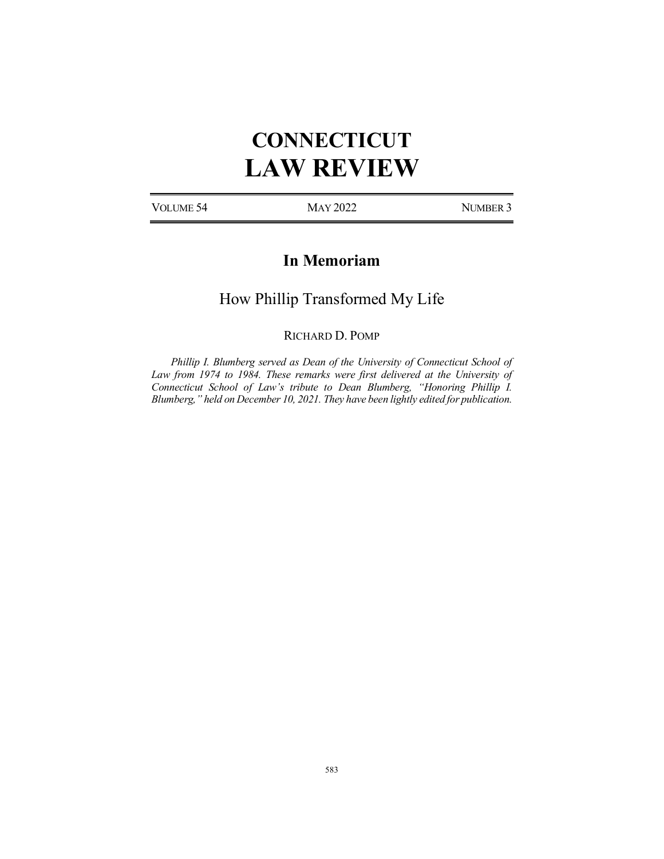# **CONNECTICUT LAW REVIEW**

VOLUME 54 MAY 2022 NUMBER 3

### **In Memoriam**

#### How Phillip Transformed My Life

RICHARD D. POMP

*Phillip I. Blumberg served as Dean of the University of Connecticut School of*  Law from 1974 to 1984. These remarks were first delivered at the University of *Connecticut School of Law's tribute to Dean Blumberg, "Honoring Phillip I. Blumberg," held on December 10, 2021. They have been lightly edited for publication.*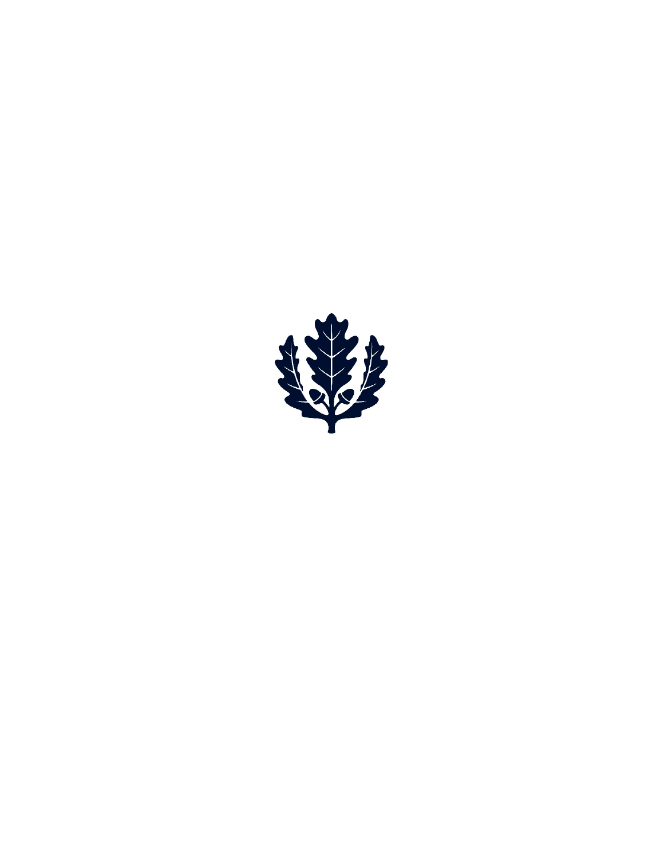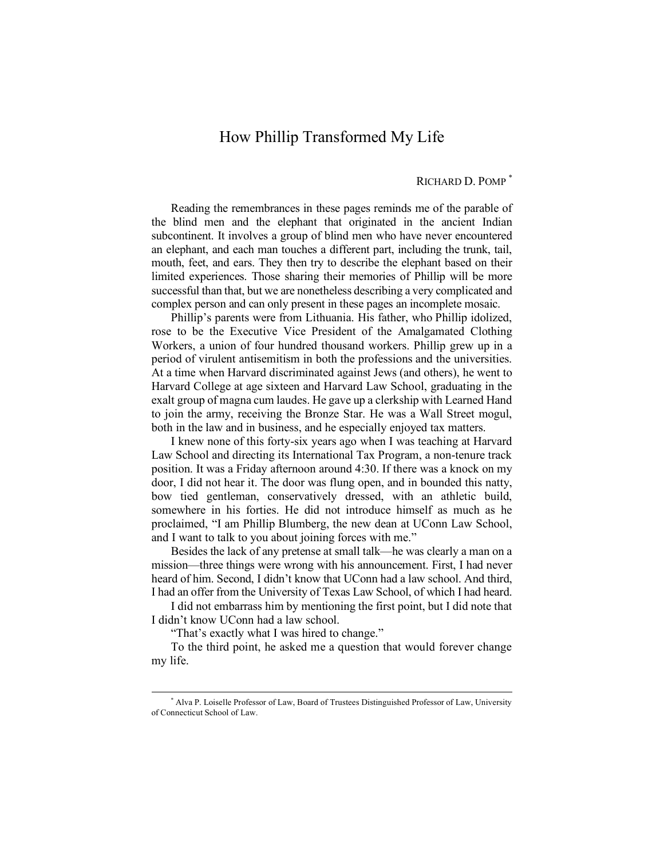#### How Phillip Transformed My Life

RICHARD D. POMP \*

Reading the remembrances in these pages reminds me of the parable of the blind men and the elephant that originated in the ancient Indian subcontinent. It involves a group of blind men who have never encountered an elephant, and each man touches a different part, including the trunk, tail, mouth, feet, and ears. They then try to describe the elephant based on their limited experiences. Those sharing their memories of Phillip will be more successful than that, but we are nonetheless describing a very complicated and complex person and can only present in these pages an incomplete mosaic.

Phillip's parents were from Lithuania. His father, who Phillip idolized, rose to be the Executive Vice President of the Amalgamated Clothing Workers, a union of four hundred thousand workers. Phillip grew up in a period of virulent antisemitism in both the professions and the universities. At a time when Harvard discriminated against Jews (and others), he went to Harvard College at age sixteen and Harvard Law School, graduating in the exalt group of magna cum laudes. He gave up a clerkship with Learned Hand to join the army, receiving the Bronze Star. He was a Wall Street mogul, both in the law and in business, and he especially enjoyed tax matters.

I knew none of this forty-six years ago when I was teaching at Harvard Law School and directing its International Tax Program, a non-tenure track position. It was a Friday afternoon around 4:30. If there was a knock on my door, I did not hear it. The door was flung open, and in bounded this natty, bow tied gentleman, conservatively dressed, with an athletic build, somewhere in his forties. He did not introduce himself as much as he proclaimed, "I am Phillip Blumberg, the new dean at UConn Law School, and I want to talk to you about joining forces with me."

Besides the lack of any pretense at small talk—he was clearly a man on a mission—three things were wrong with his announcement. First, I had never heard of him. Second, I didn't know that UConn had a law school. And third, I had an offer from the University of Texas Law School, of which I had heard.

I did not embarrass him by mentioning the first point, but I did note that I didn't know UConn had a law school.

"That's exactly what I was hired to change."

To the third point, he asked me a question that would forever change my life.

 <sup>\*</sup> Alva P. Loiselle Professor of Law, Board of Trustees Distinguished Professor of Law, University of Connecticut School of Law.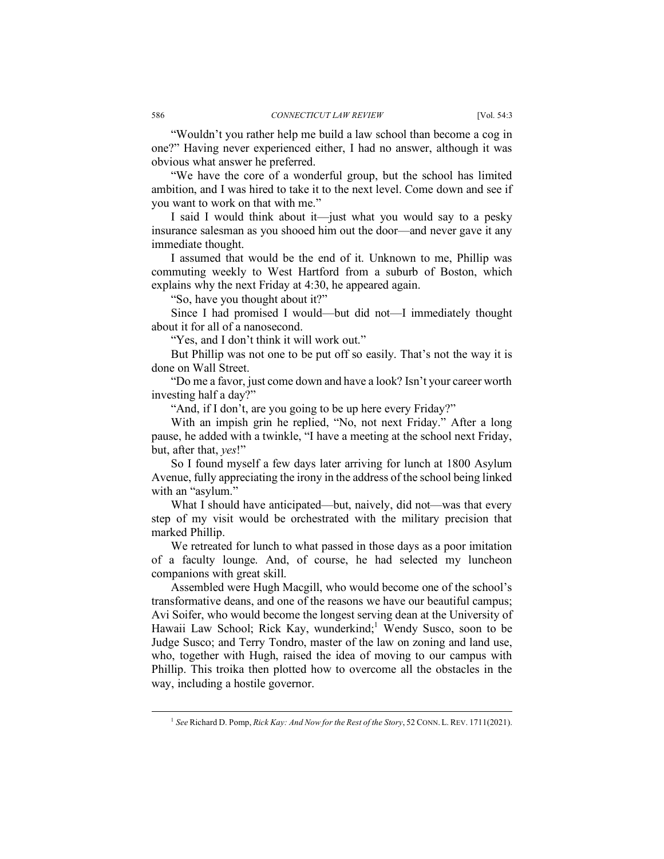"Wouldn't you rather help me build a law school than become a cog in one?" Having never experienced either, I had no answer, although it was obvious what answer he preferred.

"We have the core of a wonderful group, but the school has limited ambition, and I was hired to take it to the next level. Come down and see if you want to work on that with me."

I said I would think about it—just what you would say to a pesky insurance salesman as you shooed him out the door—and never gave it any immediate thought.

I assumed that would be the end of it. Unknown to me, Phillip was commuting weekly to West Hartford from a suburb of Boston, which explains why the next Friday at 4:30, he appeared again.

"So, have you thought about it?"

Since I had promised I would—but did not—I immediately thought about it for all of a nanosecond.

"Yes, and I don't think it will work out."

But Phillip was not one to be put off so easily. That's not the way it is done on Wall Street.

"Do me a favor, just come down and have a look? Isn't your career worth investing half a day?"

"And, if I don't, are you going to be up here every Friday?"

With an impish grin he replied, "No, not next Friday." After a long pause, he added with a twinkle, "I have a meeting at the school next Friday, but, after that, *yes*!"

So I found myself a few days later arriving for lunch at 1800 Asylum Avenue, fully appreciating the irony in the address of the school being linked with an "asylum."

What I should have anticipated—but, naively, did not—was that every step of my visit would be orchestrated with the military precision that marked Phillip.

We retreated for lunch to what passed in those days as a poor imitation of a faculty lounge. And, of course, he had selected my luncheon companions with great skill.

Assembled were Hugh Macgill, who would become one of the school's transformative deans, and one of the reasons we have our beautiful campus; Avi Soifer, who would become the longest serving dean at the University of Hawaii Law School; Rick Kay, wunderkind; <sup>1</sup> Wendy Susco, soon to be Judge Susco; and Terry Tondro, master of the law on zoning and land use, who, together with Hugh, raised the idea of moving to our campus with Phillip. This troika then plotted how to overcome all the obstacles in the way, including a hostile governor.

<sup>&</sup>lt;sup>1</sup> See Richard D. Pomp, *Rick Kay: And Now for the Rest of the Story*, 52 CONN. L. REV. 1711(2021).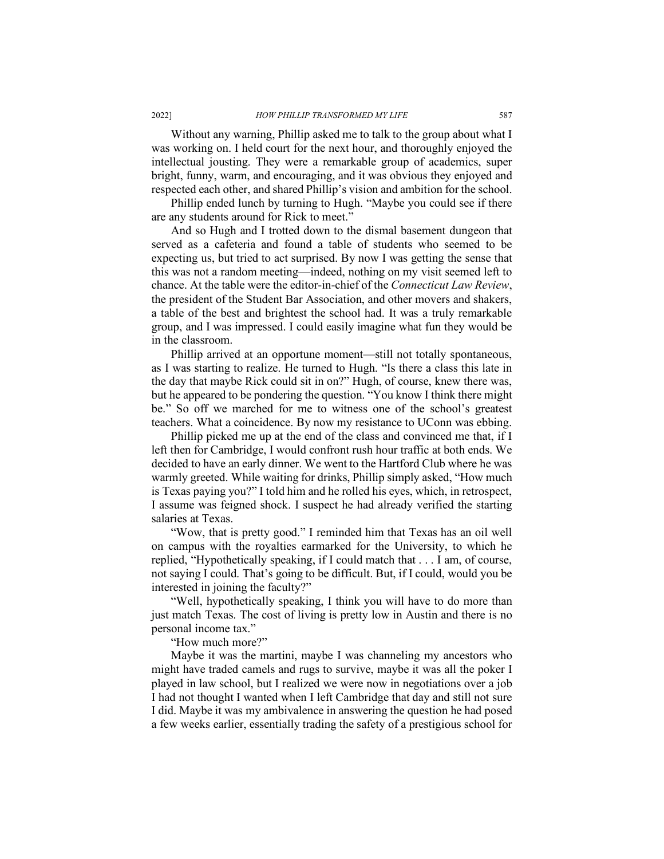Without any warning, Phillip asked me to talk to the group about what I was working on. I held court for the next hour, and thoroughly enjoyed the intellectual jousting. They were a remarkable group of academics, super bright, funny, warm, and encouraging, and it was obvious they enjoyed and respected each other, and shared Phillip's vision and ambition for the school.

Phillip ended lunch by turning to Hugh. "Maybe you could see if there are any students around for Rick to meet."

And so Hugh and I trotted down to the dismal basement dungeon that served as a cafeteria and found a table of students who seemed to be expecting us, but tried to act surprised. By now I was getting the sense that this was not a random meeting—indeed, nothing on my visit seemed left to chance. At the table were the editor-in-chief of the *Connecticut Law Review*, the president of the Student Bar Association, and other movers and shakers, a table of the best and brightest the school had. It was a truly remarkable group, and I was impressed. I could easily imagine what fun they would be in the classroom.

Phillip arrived at an opportune moment—still not totally spontaneous, as I was starting to realize. He turned to Hugh. "Is there a class this late in the day that maybe Rick could sit in on?" Hugh, of course, knew there was, but he appeared to be pondering the question. "You know I think there might be." So off we marched for me to witness one of the school's greatest teachers. What a coincidence. By now my resistance to UConn was ebbing.

Phillip picked me up at the end of the class and convinced me that, if I left then for Cambridge, I would confront rush hour traffic at both ends. We decided to have an early dinner. We went to the Hartford Club where he was warmly greeted. While waiting for drinks, Phillip simply asked, "How much is Texas paying you?" I told him and he rolled his eyes, which, in retrospect, I assume was feigned shock. I suspect he had already verified the starting salaries at Texas.

"Wow, that is pretty good." I reminded him that Texas has an oil well on campus with the royalties earmarked for the University, to which he replied, "Hypothetically speaking, if I could match that . . . I am, of course, not saying I could. That's going to be difficult. But, if I could, would you be interested in joining the faculty?"

"Well, hypothetically speaking, I think you will have to do more than just match Texas. The cost of living is pretty low in Austin and there is no personal income tax."

"How much more?"

Maybe it was the martini, maybe I was channeling my ancestors who might have traded camels and rugs to survive, maybe it was all the poker I played in law school, but I realized we were now in negotiations over a job I had not thought I wanted when I left Cambridge that day and still not sure I did. Maybe it was my ambivalence in answering the question he had posed a few weeks earlier, essentially trading the safety of a prestigious school for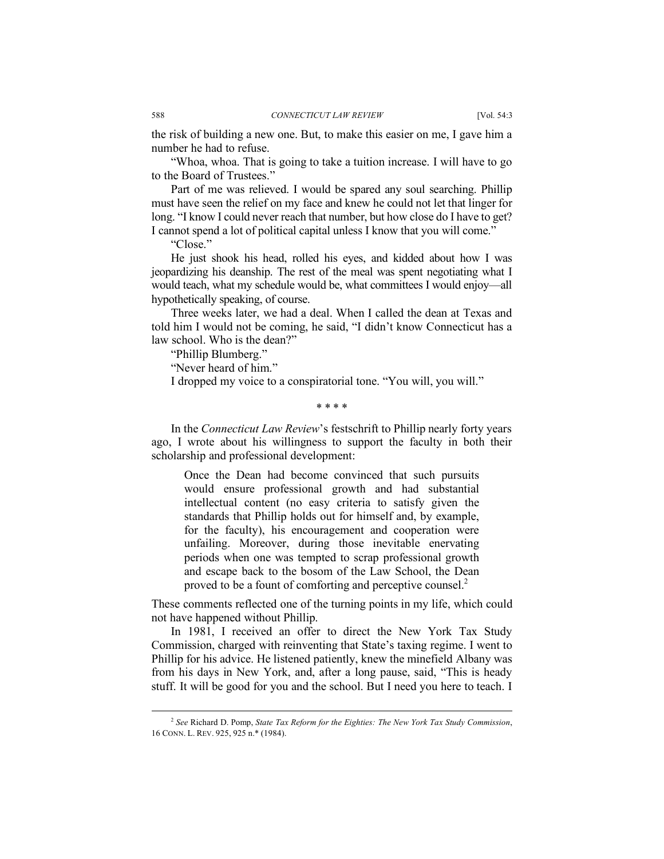the risk of building a new one. But, to make this easier on me, I gave him a number he had to refuse.

"Whoa, whoa. That is going to take a tuition increase. I will have to go to the Board of Trustees."

Part of me was relieved. I would be spared any soul searching. Phillip must have seen the relief on my face and knew he could not let that linger for long. "I know I could never reach that number, but how close do I have to get? I cannot spend a lot of political capital unless I know that you will come."

"Close"

He just shook his head, rolled his eyes, and kidded about how I was jeopardizing his deanship. The rest of the meal was spent negotiating what I would teach, what my schedule would be, what committees I would enjoy—all hypothetically speaking, of course.

Three weeks later, we had a deal. When I called the dean at Texas and told him I would not be coming, he said, "I didn't know Connecticut has a law school. Who is the dean?"

"Phillip Blumberg."

"Never heard of him."

I dropped my voice to a conspiratorial tone. "You will, you will."

#### \* \* \* \*

In the *Connecticut Law Review*'s festschrift to Phillip nearly forty years ago, I wrote about his willingness to support the faculty in both their scholarship and professional development:

Once the Dean had become convinced that such pursuits would ensure professional growth and had substantial intellectual content (no easy criteria to satisfy given the standards that Phillip holds out for himself and, by example, for the faculty), his encouragement and cooperation were unfailing. Moreover, during those inevitable enervating periods when one was tempted to scrap professional growth and escape back to the bosom of the Law School, the Dean proved to be a fount of comforting and perceptive counsel.<sup>2</sup>

These comments reflected one of the turning points in my life, which could not have happened without Phillip.

In 1981, I received an offer to direct the New York Tax Study Commission, charged with reinventing that State's taxing regime. I went to Phillip for his advice. He listened patiently, knew the minefield Albany was from his days in New York, and, after a long pause, said, "This is heady stuff. It will be good for you and the school. But I need you here to teach. I

 <sup>2</sup> *See* Richard D. Pomp, *State Tax Reform for the Eighties: The New York Tax Study Commission*, 16 CONN. L. REV. 925, 925 n.\* (1984).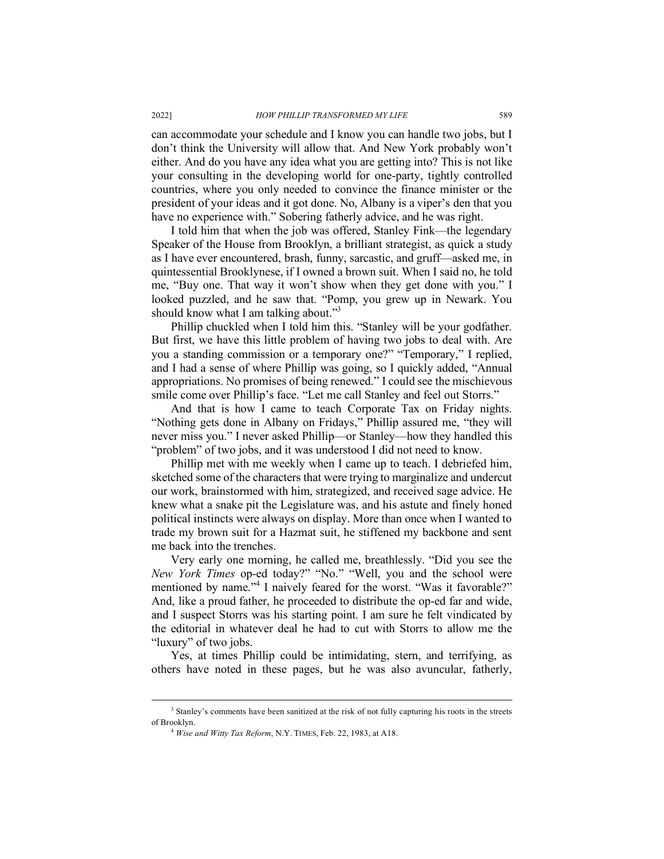can accommodate your schedule and I know you can handle two jobs, but I don't think the University will allow that. And New York probably won't either. And do you have any idea what you are getting into? This is not like your consulting in the developing world for one-party, tightly controlled countries, where you only needed to convince the finance minister or the president of your ideas and it got done. No, Albany is a viper's den that you have no experience with." Sobering fatherly advice, and he was right.

I told him that when the job was offered, Stanley Fink—the legendary Speaker of the House from Brooklyn, a brilliant strategist, as quick a study as I have ever encountered, brash, funny, sarcastic, and gruff—asked me, in quintessential Brooklynese, if I owned a brown suit. When I said no, he told me, "Buy one. That way it won't show when they get done with you." I looked puzzled, and he saw that. "Pomp, you grew up in Newark. You should know what I am talking about."<sup>3</sup>

Phillip chuckled when I told him this. "Stanley will be your godfather. But first, we have this little problem of having two jobs to deal with. Are you a standing commission or a temporary one?" "Temporary," I replied, and I had a sense of where Phillip was going, so I quickly added, "Annual appropriations. No promises of being renewed." I could see the mischievous smile come over Phillip's face. "Let me call Stanley and feel out Storrs."

And that is how I came to teach Corporate Tax on Friday nights. "Nothing gets done in Albany on Fridays," Phillip assured me, "they will never miss you." I never asked Phillip—or Stanley—how they handled this "problem" of two jobs, and it was understood I did not need to know.

Phillip met with me weekly when I came up to teach. I debriefed him, sketched some of the characters that were trying to marginalize and undercut our work, brainstormed with him, strategized, and received sage advice. He knew what a snake pit the Legislature was, and his astute and finely honed political instincts were always on display. More than once when I wanted to trade my brown suit for a Hazmat suit, he stiffened my backbone and sent me back into the trenches.

Very early one morning, he called me, breathlessly. "Did you see the *New York Times* op-ed today?" "No." "Well, you and the school were mentioned by name."<sup>4</sup> I naively feared for the worst. "Was it favorable?" And, like a proud father, he proceeded to distribute the op-ed far and wide, and I suspect Storrs was his starting point. I am sure he felt vindicated by the editorial in whatever deal he had to cut with Storrs to allow me the "luxury" of two jobs.

Yes, at times Phillip could be intimidating, stern, and terrifying, as others have noted in these pages, but he was also avuncular, fatherly,

<sup>&</sup>lt;sup>3</sup> Stanley's comments have been sanitized at the risk of not fully capturing his roots in the streets of Brooklyn.

<sup>4</sup> *Wise and Witty Tax Reform*, N.Y. TIMES, Feb. 22, 1983, at A18.